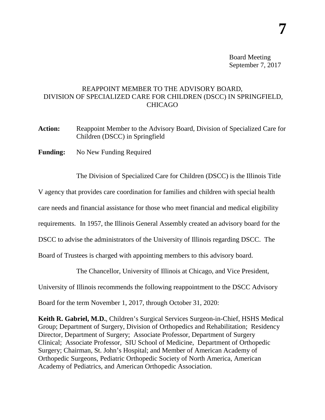Board Meeting September 7, 2017

## REAPPOINT MEMBER TO THE ADVISORY BOARD, DIVISION OF SPECIALIZED CARE FOR CHILDREN (DSCC) IN SPRINGFIELD, **CHICAGO**

- **Action:** Reappoint Member to the Advisory Board, Division of Specialized Care for Children (DSCC) in Springfield
- **Funding:** No New Funding Required

The Division of Specialized Care for Children (DSCC) is the Illinois Title

V agency that provides care coordination for families and children with special health

care needs and financial assistance for those who meet financial and medical eligibility

requirements. In 1957, the Illinois General Assembly created an advisory board for the

DSCC to advise the administrators of the University of Illinois regarding DSCC. The

Board of Trustees is charged with appointing members to this advisory board.

The Chancellor, University of Illinois at Chicago, and Vice President,

University of Illinois recommends the following reappointment to the DSCC Advisory

Board for the term November 1, 2017, through October 31, 2020:

**Keith R. Gabriel, M.D.**, Children's Surgical Services Surgeon-in-Chief, HSHS Medical Group; Department of Surgery, Division of Orthopedics and Rehabilitation; Residency Director, Department of Surgery; Associate Professor, Department of Surgery Clinical; Associate Professor, SIU School of Medicine, Department of Orthopedic Surgery; Chairman, St. John's Hospital; and Member of American Academy of Orthopedic Surgeons, Pediatric Orthopedic Society of North America, American Academy of Pediatrics, and American Orthopedic Association.